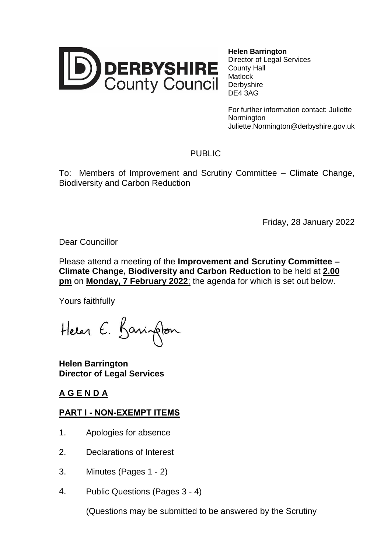

**Helen Barrington** Director of Legal Services County Hall **Matlock Derbyshire** DE4 3AG

For further information contact: Juliette **Normington** Juliette.Normington@derbyshire.gov.uk

## PUBLIC

To: Members of Improvement and Scrutiny Committee – Climate Change, Biodiversity and Carbon Reduction

Friday, 28 January 2022

Dear Councillor

Please attend a meeting of the **Improvement and Scrutiny Committee – Climate Change, Biodiversity and Carbon Reduction** to be held at **2.00 pm** on **Monday, 7 February 2022**; the agenda for which is set out below.

Yours faithfully

Helen E. Barington

**Helen Barrington Director of Legal Services**

## **A G E N D A**

## **PART I - NON-EXEMPT ITEMS**

- 1. Apologies for absence
- 2. Declarations of Interest
- 3. Minutes (Pages 1 2)
- 4. Public Questions (Pages 3 4)

(Questions may be submitted to be answered by the Scrutiny